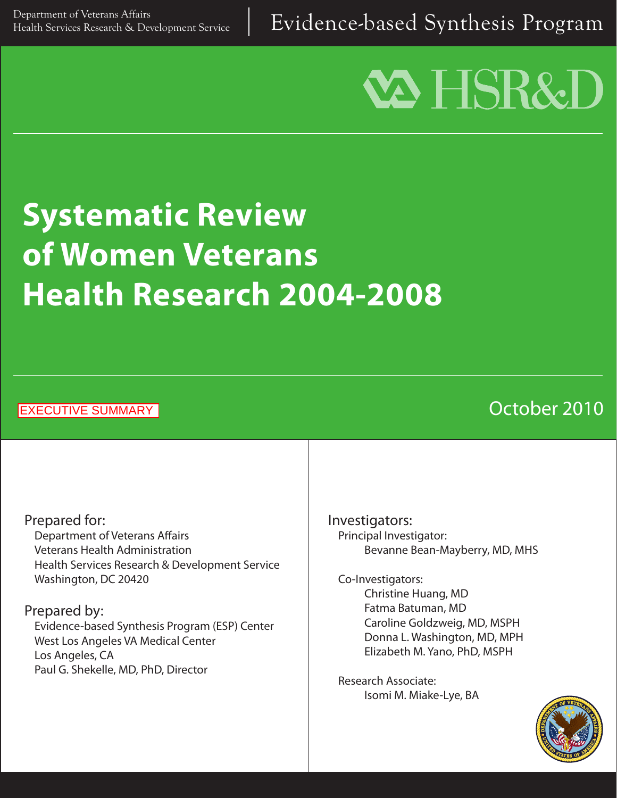Evidence-based Synthesis Program

# **VA HSR&D**

# **Systematic Review of Women Veterans Health Research 2004-2008**

EXECUTIVE SUMMARY

# October 2010

Prepared for: Department of Veterans Affairs Veterans Health Administration Health Services Research & Development Service Washington, DC 20420

#### Prepared by:

Evidence-based Synthesis Program (ESP) Center West Los Angeles VA Medical Center Los Angeles, CA Paul G. Shekelle, MD, PhD, Director

Investigators: Principal Investigator: Bevanne Bean-Mayberry, MD, MHS

Co-Investigators: Christine Huang, MD Fatma Batuman, MD Caroline Goldzweig, MD, MSPH Donna L. Washington, MD, MPH Elizabeth M. Yano, PhD, MSPH

Research Associate: Isomi M. Miake-Lye, BA

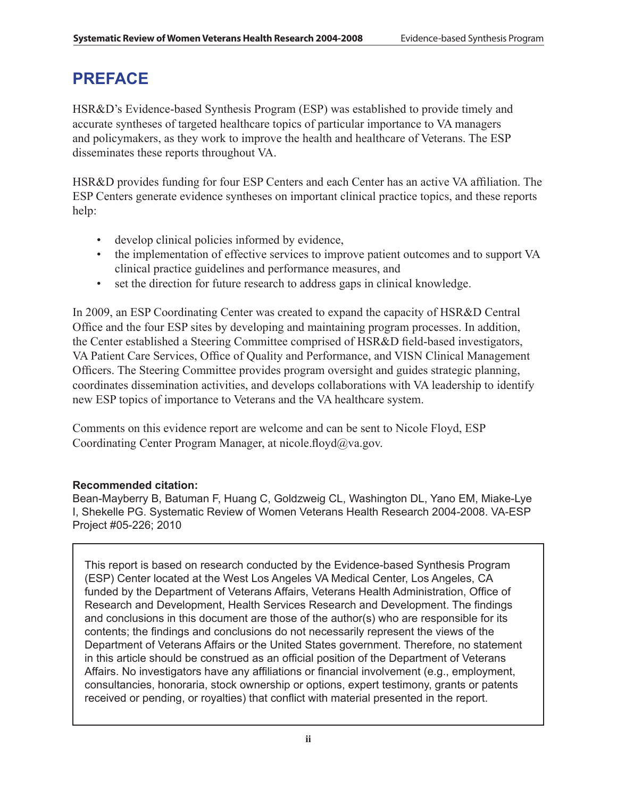# **PREFACE**

HSR&D's Evidence-based Synthesis Program (ESP) was established to provide timely and accurate syntheses of targeted healthcare topics of particular importance to VA managers and policymakers, as they work to improve the health and healthcare of Veterans. The ESP disseminates these reports throughout VA.

HSR&D provides funding for four ESP Centers and each Center has an active VA affiliation. The ESP Centers generate evidence syntheses on important clinical practice topics, and these reports help:

- develop clinical policies informed by evidence,
- the implementation of effective services to improve patient outcomes and to support VA clinical practice guidelines and performance measures, and
- set the direction for future research to address gaps in clinical knowledge.

In 2009, an ESP Coordinating Center was created to expand the capacity of HSR&D Central Office and the four ESP sites by developing and maintaining program processes. In addition, the Center established a Steering Committee comprised of HSR&D field-based investigators, VA Patient Care Services, Office of Quality and Performance, and VISN Clinical Management Officers. The Steering Committee provides program oversight and guides strategic planning, coordinates dissemination activities, and develops collaborations with VA leadership to identify new ESP topics of importance to Veterans and the VA healthcare system.

Comments on this evidence report are welcome and can be sent to Nicole Floyd, ESP Coordinating Center Program Manager, at nicole.floyd $\omega$ va.gov.

#### **Recommended citation:**

Bean-Mayberry B, Batuman F, Huang C, Goldzweig CL, Washington DL, Yano EM, Miake-Lye I, Shekelle PG. Systematic Review of Women Veterans Health Research 2004-2008. VA-ESP Project #05-226; 2010

This report is based on research conducted by the Evidence-based Synthesis Program (ESP) Center located at the West Los Angeles VA Medical Center, Los Angeles, CA funded by the Department of Veterans Affairs, Veterans Health Administration, Office of Research and Development, Health Services Research and Development. The findings and conclusions in this document are those of the author(s) who are responsible for its contents; the findings and conclusions do not necessarily represent the views of the Department of Veterans Affairs or the United States government. Therefore, no statement in this article should be construed as an official position of the Department of Veterans Affairs. No investigators have any affiliations or financial involvement (e.g., employment, consultancies, honoraria, stock ownership or options, expert testimony, grants or patents received or pending, or royalties) that conflict with material presented in the report.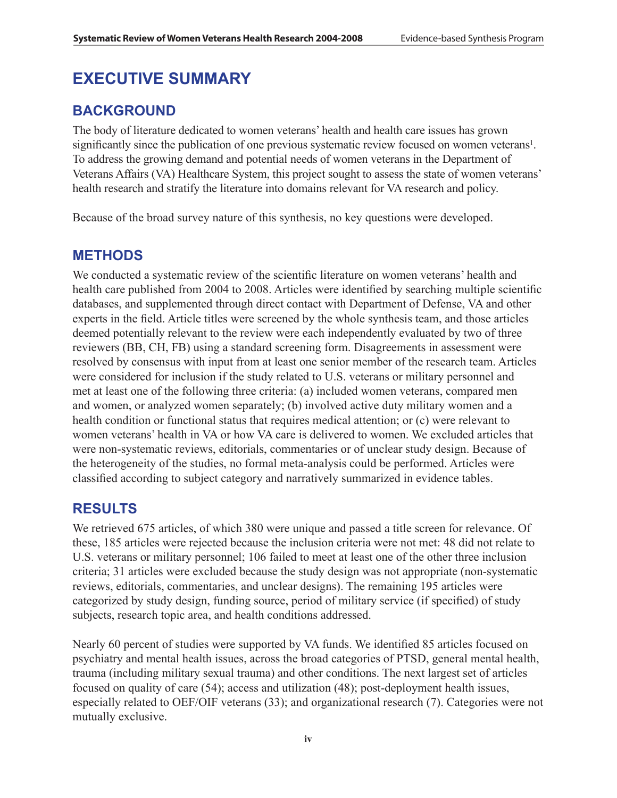# **EXECUTIVE SUMMARY**

## **Background**

The body of literature dedicated to women veterans' health and health care issues has grown significantly since the publication of one previous systematic review focused on women veterans<sup>1</sup>. To address the growing demand and potential needs of women veterans in the Department of Veterans Affairs (VA) Healthcare System, this project sought to assess the state of women veterans' health research and stratify the literature into domains relevant for VA research and policy.

Because of the broad survey nature of this synthesis, no key questions were developed.

### **METHODS**

We conducted a systematic review of the scientific literature on women veterans' health and health care published from 2004 to 2008. Articles were identified by searching multiple scientific databases, and supplemented through direct contact with Department of Defense, VA and other experts in the field. Article titles were screened by the whole synthesis team, and those articles deemed potentially relevant to the review were each independently evaluated by two of three reviewers (BB, CH, FB) using a standard screening form. Disagreements in assessment were resolved by consensus with input from at least one senior member of the research team. Articles were considered for inclusion if the study related to U.S. veterans or military personnel and met at least one of the following three criteria: (a) included women veterans, compared men and women, or analyzed women separately; (b) involved active duty military women and a health condition or functional status that requires medical attention; or (c) were relevant to women veterans' health in VA or how VA care is delivered to women. We excluded articles that were non-systematic reviews, editorials, commentaries or of unclear study design. Because of the heterogeneity of the studies, no formal meta-analysis could be performed. Articles were classified according to subject category and narratively summarized in evidence tables.

### **RESULTS**

We retrieved 675 articles, of which 380 were unique and passed a title screen for relevance. Of these, 185 articles were rejected because the inclusion criteria were not met: 48 did not relate to U.S. veterans or military personnel; 106 failed to meet at least one of the other three inclusion criteria; 31 articles were excluded because the study design was not appropriate (non-systematic reviews, editorials, commentaries, and unclear designs). The remaining 195 articles were categorized by study design, funding source, period of military service (if specified) of study subjects, research topic area, and health conditions addressed.

Nearly 60 percent of studies were supported by VA funds. We identified 85 articles focused on psychiatry and mental health issues, across the broad categories of PTSD, general mental health, trauma (including military sexual trauma) and other conditions. The next largest set of articles focused on quality of care (54); access and utilization (48); post-deployment health issues, especially related to OEF/OIF veterans (33); and organizational research (7). Categories were not mutually exclusive.